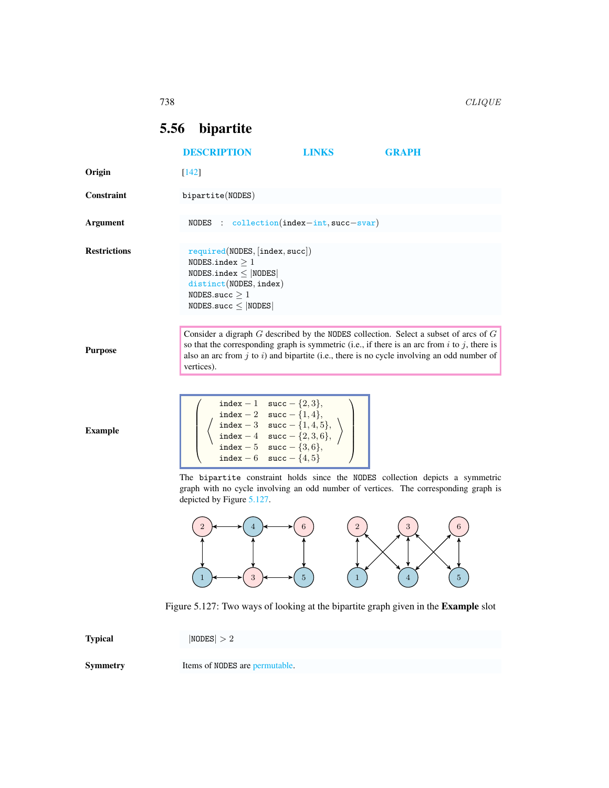## <span id="page-0-0"></span>5.56 bipartite

|                     | <b>DESCRIPTION</b>                                                                                                                                                                | <b>LINKS</b> | <b>GRAPH</b>                                                                                                                                                                                                                                                                                     |
|---------------------|-----------------------------------------------------------------------------------------------------------------------------------------------------------------------------------|--------------|--------------------------------------------------------------------------------------------------------------------------------------------------------------------------------------------------------------------------------------------------------------------------------------------------|
| Origin              | $[142]$                                                                                                                                                                           |              |                                                                                                                                                                                                                                                                                                  |
| Constraint          | bipartite(NODES)                                                                                                                                                                  |              |                                                                                                                                                                                                                                                                                                  |
| Argument            | NODES : $\text{collection}(\text{index} - \text{int}, \text{succ}-\text{svar})$                                                                                                   |              |                                                                                                                                                                                                                                                                                                  |
| <b>Restrictions</b> | required(NDDES, [index, succ])<br>NODES.index $\geq 1$<br>$NODES.index \leq  NODES $<br>distinct(NODES, index)<br>NODES.succ $\geq 1$<br>$NODES.size \leq  NODES $                |              |                                                                                                                                                                                                                                                                                                  |
| <b>Purpose</b>      | vertices).                                                                                                                                                                        |              | Consider a digraph $G$ described by the NODES collection. Select a subset of arcs of $G$<br>so that the corresponding graph is symmetric (i.e., if there is an arc from $i$ to $j$ , there is<br>also an arc from $j$ to $i$ ) and bipartite (i.e., there is no cycle involving an odd number of |
| <b>Example</b>      | index - 1 succ - $\{2,3\},\$<br>index - 2 succ - {1, 4},<br>index - 3 succ - {1, 4, 5},<br>index - 4 succ - {2, 3, 6},<br>index - 5 succ - {3, 6},<br>index - 6 succ - $\{4, 5\}$ |              |                                                                                                                                                                                                                                                                                                  |
|                     | depicted by Figure 5.127.                                                                                                                                                         |              | The bipartite constraint holds since the NODES collection depicts a symmetric<br>graph with no cycle involving an odd number of vertices. The corresponding graph is                                                                                                                             |
|                     |                                                                                                                                                                                   | 2            |                                                                                                                                                                                                                                                                                                  |

Figure 5.127: Two ways of looking at the bipartite graph given in the Example slot

 $\begin{pmatrix} 1 \\ 1 \end{pmatrix}$ 

 $\textbf{Typical}$  |NODES| > 2

Symmetry Items of NODES are permutable.

<span id="page-0-1"></span>1  $\leftrightarrow$  3  $\leftrightarrow$  5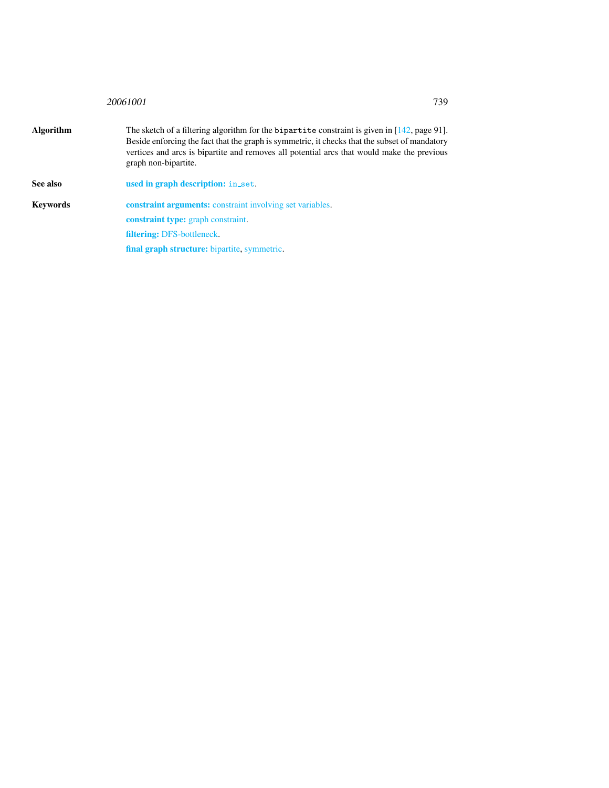## <sup>20061001</sup> 739

| Algorithm | The sketch of a filtering algorithm for the bipartite constraint is given in $[142, \text{page 91}]$ .<br>Beside enforcing the fact that the graph is symmetric, it checks that the subset of mandatory<br>vertices and arcs is bipartite and removes all potential arcs that would make the previous<br>graph non-bipartite. |
|-----------|-------------------------------------------------------------------------------------------------------------------------------------------------------------------------------------------------------------------------------------------------------------------------------------------------------------------------------|
| See also  | used in graph description: in_set.                                                                                                                                                                                                                                                                                            |
| Kevwords  | <b>constraint arguments:</b> constraint involving set variables.                                                                                                                                                                                                                                                              |
|           | <b>constraint type:</b> graph constraint.                                                                                                                                                                                                                                                                                     |

<span id="page-1-0"></span>filtering: DFS-bottleneck.

final graph structure: bipartite, symmetric.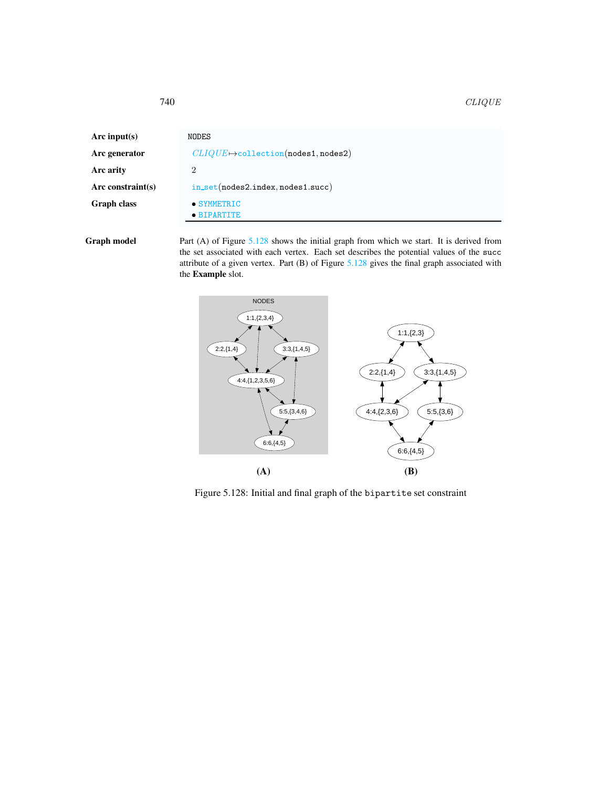| Arc input(s)      | NODES                                      |
|-------------------|--------------------------------------------|
| Arc generator     | $CLIQUE \mapsto$ collection(nodes1,nodes2) |
| Arc arity         | 2                                          |
| Arc constraint(s) | $in_set(node2.index, nodes1.succ)$         |
| Graph class       | • SYMMETRIC                                |
|                   | $\bullet$ BIPARTITE                        |

Graph model Part (A) of Figure [5.128](#page-2-1) shows the initial graph from which we start. It is derived from the set associated with each vertex. Each set describes the potential values of the succ attribute of a given vertex. Part (B) of Figure [5.128](#page-2-1) gives the final graph associated with the Example slot.



<span id="page-2-1"></span>Figure 5.128: Initial and final graph of the bipartite set constraint

<span id="page-2-0"></span>